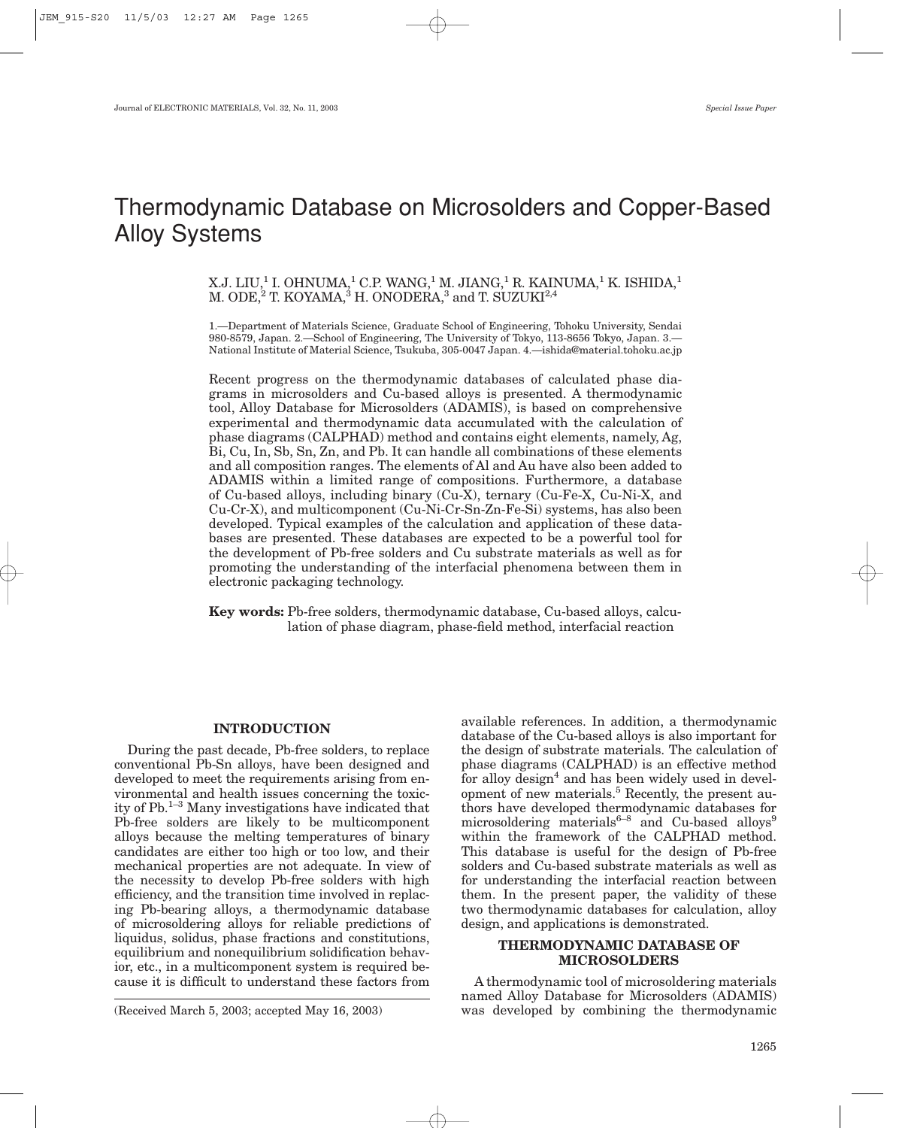# Thermodynamic Database on Microsolders and Copper-Based Alloy Systems

## X.J. LIU,<sup>1</sup> I. OHNUMA,<sup>1</sup> C.P. WANG,<sup>1</sup> M. JIANG,<sup>1</sup> R. KAINUMA,<sup>1</sup> K. ISHIDA,<sup>1</sup> M. ODE,<sup>2</sup> T. KOYAMA,<sup>3</sup> H. ONODERA,<sup>3</sup> and T. SUZUKI<sup>2,4</sup>

1.—Department of Materials Science, Graduate School of Engineering, Tohoku University, Sendai 980-8579, Japan. 2.—School of Engineering, The University of Tokyo, 113-8656 Tokyo, Japan. 3.— National Institute of Material Science, Tsukuba, 305-0047 Japan. 4.—ishida@material.tohoku.ac.jp

Recent progress on the thermodynamic databases of calculated phase diagrams in microsolders and Cu-based alloys is presented. A thermodynamic tool, Alloy Database for Microsolders (ADAMIS), is based on comprehensive experimental and thermodynamic data accumulated with the calculation of phase diagrams (CALPHAD) method and contains eight elements, namely, Ag, Bi, Cu, In, Sb, Sn, Zn, and Pb. It can handle all combinations of these elements and all composition ranges. The elements of Al and Au have also been added to ADAMIS within a limited range of compositions. Furthermore, a database of Cu-based alloys, including binary (Cu-X), ternary (Cu-Fe-X, Cu-Ni-X, and Cu-Cr-X), and multicomponent (Cu-Ni-Cr-Sn-Zn-Fe-Si) systems, has also been developed. Typical examples of the calculation and application of these databases are presented. These databases are expected to be a powerful tool for the development of Pb-free solders and Cu substrate materials as well as for promoting the understanding of the interfacial phenomena between them in electronic packaging technology.

**Key words:** Pb-free solders, thermodynamic database, Cu-based alloys, calculation of phase diagram, phase-field method, interfacial reaction

#### **INTRODUCTION**

During the past decade, Pb-free solders, to replace conventional Pb-Sn alloys, have been designed and developed to meet the requirements arising from environmental and health issues concerning the toxicity of  $Pb$ <sup>1–3</sup> Many investigations have indicated that Pb-free solders are likely to be multicomponent alloys because the melting temperatures of binary candidates are either too high or too low, and their mechanical properties are not adequate. In view of the necessity to develop Pb-free solders with high efficiency, and the transition time involved in replacing Pb-bearing alloys, a thermodynamic database of microsoldering alloys for reliable predictions of liquidus, solidus, phase fractions and constitutions, equilibrium and nonequilibrium solidification behavior, etc., in a multicomponent system is required because it is difficult to understand these factors from

(Received March 5, 2003; accepted May 16, 2003)

available references. In addition, a thermodynamic database of the Cu-based alloys is also important for the design of substrate materials. The calculation of phase diagrams (CALPHAD) is an effective method for alloy design<sup>4</sup> and has been widely used in development of new materials.<sup>5</sup> Recently, the present authors have developed thermodynamic databases for microsoldering materials<sup>6-8</sup> and Cu-based alloys<sup>9</sup> within the framework of the CALPHAD method. This database is useful for the design of Pb-free solders and Cu-based substrate materials as well as for understanding the interfacial reaction between them. In the present paper, the validity of these two thermodynamic databases for calculation, alloy design, and applications is demonstrated.

#### **THERMODYNAMIC DATABASE OF MICROSOLDERS**

A thermodynamic tool of microsoldering materials named Alloy Database for Microsolders (ADAMIS) was developed by combining the thermodynamic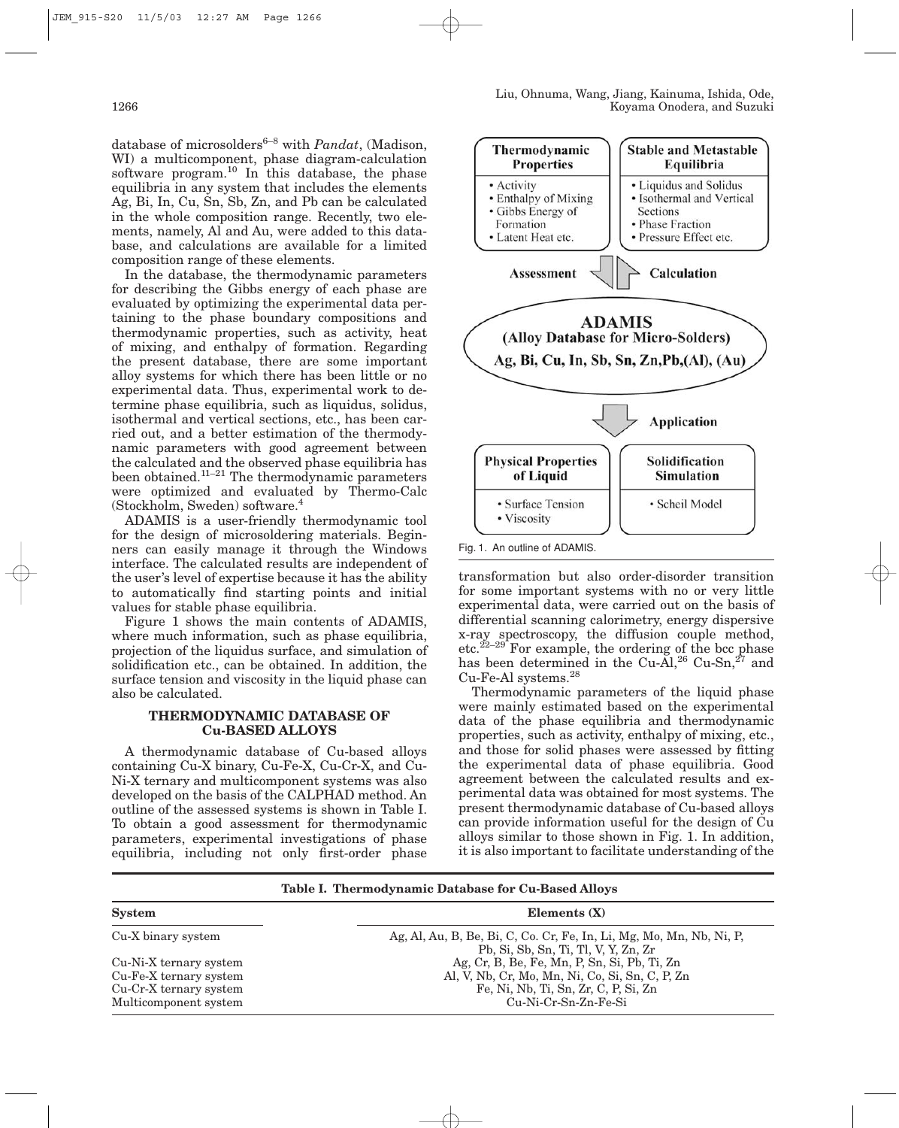database of microsolders<sup>6–8</sup> with *Pandat*, (Madison, WI) a multicomponent, phase diagram-calculation software program.<sup>10</sup> In this database, the phase equilibria in any system that includes the elements Ag, Bi, In, Cu, Sn, Sb, Zn, and Pb can be calculated in the whole composition range. Recently, two elements, namely, Al and Au, were added to this database, and calculations are available for a limited composition range of these elements.

In the database, the thermodynamic parameters for describing the Gibbs energy of each phase are evaluated by optimizing the experimental data pertaining to the phase boundary compositions and thermodynamic properties, such as activity, heat of mixing, and enthalpy of formation. Regarding the present database, there are some important alloy systems for which there has been little or no experimental data. Thus, experimental work to determine phase equilibria, such as liquidus, solidus, isothermal and vertical sections, etc., has been carried out, and a better estimation of the thermodynamic parameters with good agreement between the calculated and the observed phase equilibria has been obtained.<sup>11–21</sup> The thermodynamic parameters were optimized and evaluated by Thermo-Calc (Stockholm, Sweden) software.4

ADAMIS is a user-friendly thermodynamic tool for the design of microsoldering materials. Beginners can easily manage it through the Windows interface. The calculated results are independent of the user's level of expertise because it has the ability to automatically find starting points and initial values for stable phase equilibria.

Figure 1 shows the main contents of ADAMIS, where much information, such as phase equilibria, projection of the liquidus surface, and simulation of solidification etc., can be obtained. In addition, the surface tension and viscosity in the liquid phase can also be calculated.

## **THERMODYNAMIC DATABASE OF Cu-BASED ALLOYS**

A thermodynamic database of Cu-based alloys containing Cu-X binary, Cu-Fe-X, Cu-Cr-X, and Cu-Ni-X ternary and multicomponent systems was also developed on the basis of the CALPHAD method. An outline of the assessed systems is shown in Table I. To obtain a good assessment for thermodynamic parameters, experimental investigations of phase equilibria, including not only first-order phase



transformation but also order-disorder transition for some important systems with no or very little experimental data, were carried out on the basis of differential scanning calorimetry, energy dispersive x-ray spectroscopy, the diffusion couple method, etc. $^{22-29}$  For example, the ordering of the bcc phase has been determined in the Cu-Al,<sup>26</sup> Cu-Sn,<sup>27</sup> and Cu-Fe-Al systems.28

Thermodynamic parameters of the liquid phase were mainly estimated based on the experimental data of the phase equilibria and thermodynamic properties, such as activity, enthalpy of mixing, etc., and those for solid phases were assessed by fitting the experimental data of phase equilibria. Good agreement between the calculated results and experimental data was obtained for most systems. The present thermodynamic database of Cu-based alloys can provide information useful for the design of Cu alloys similar to those shown in Fig. 1. In addition, it is also important to facilitate understanding of the

**Table I. Thermodynamic Database for Cu-Based Alloys**

| <b>System</b>                                                                                       | Elements $(X)$                                                                                                                                                    |
|-----------------------------------------------------------------------------------------------------|-------------------------------------------------------------------------------------------------------------------------------------------------------------------|
| Cu-X binary system                                                                                  | Ag, Al, Au, B, Be, Bi, C, Co. Cr, Fe, In, Li, Mg, Mo, Mn, Nb, Ni, P,<br>Pb, Si, Sb, Sn, Ti, Tl, V, Y, Zn, Zr                                                      |
| Cu-Ni-X ternary system<br>Cu-Fe-X ternary system<br>Cu-Cr-X ternary system<br>Multicomponent system | Ag, Cr, B, Be, Fe, Mn, P, Sn, Si, Pb, Ti, Zn<br>Al, V, Nb, Cr, Mo, Mn, Ni, Co, Si, Sn, C, P, Zn<br>Fe, Ni, Nb, Ti, Sn, Zr, C, P, Si, Zn<br>$Cu-Ni-Cr-Sn-Zn-Fe-Si$ |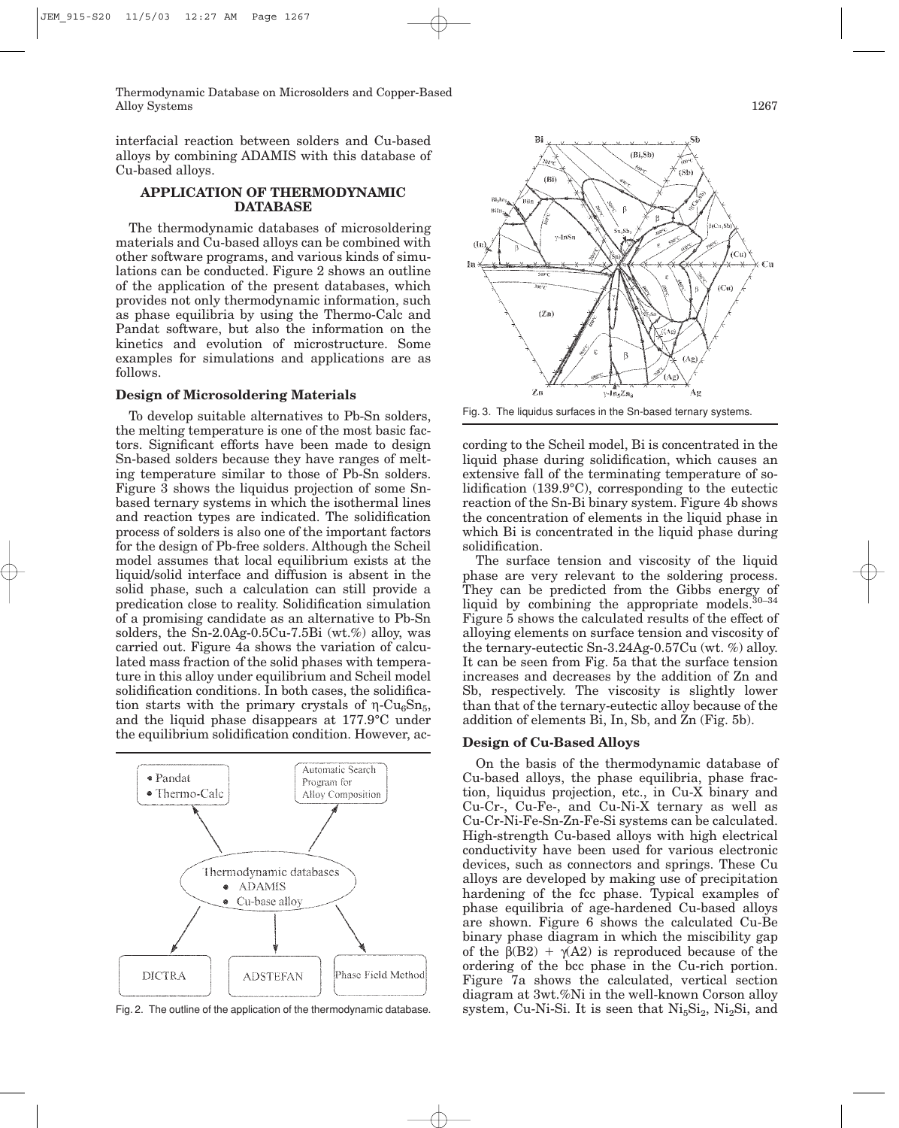Thermodynamic Database on Microsolders and Copper-Based Alloy Systems 1267

interfacial reaction between solders and Cu-based alloys by combining ADAMIS with this database of Cu-based alloys.

## **APPLICATION OF THERMODYNAMIC DATABASE**

The thermodynamic databases of microsoldering materials and Cu-based alloys can be combined with other software programs, and various kinds of simulations can be conducted. Figure 2 shows an outline of the application of the present databases, which provides not only thermodynamic information, such as phase equilibria by using the Thermo-Calc and Pandat software, but also the information on the kinetics and evolution of microstructure. Some examples for simulations and applications are as follows.

#### **Design of Microsoldering Materials**

To develop suitable alternatives to Pb-Sn solders, the melting temperature is one of the most basic factors. Significant efforts have been made to design Sn-based solders because they have ranges of melting temperature similar to those of Pb-Sn solders. Figure 3 shows the liquidus projection of some Snbased ternary systems in which the isothermal lines and reaction types are indicated. The solidification process of solders is also one of the important factors for the design of Pb-free solders. Although the Scheil model assumes that local equilibrium exists at the liquid/solid interface and diffusion is absent in the solid phase, such a calculation can still provide a predication close to reality. Solidification simulation of a promising candidate as an alternative to Pb-Sn solders, the Sn-2.0Ag-0.5Cu-7.5Bi (wt.%) alloy, was carried out. Figure 4a shows the variation of calculated mass fraction of the solid phases with temperature in this alloy under equilibrium and Scheil model solidification conditions. In both cases, the solidification starts with the primary crystals of  $η$ -Cu<sub>6</sub>Sn<sub>5</sub>, and the liquid phase disappears at 177.9°C under the equilibrium solidification condition. However, ac-



Fig. 2. The outline of the application of the thermodynamic database.



Fig. 3. The liquidus surfaces in the Sn-based ternary systems.

cording to the Scheil model, Bi is concentrated in the liquid phase during solidification, which causes an extensive fall of the terminating temperature of solidification (139.9°C), corresponding to the eutectic reaction of the Sn-Bi binary system. Figure 4b shows the concentration of elements in the liquid phase in which Bi is concentrated in the liquid phase during solidification.

The surface tension and viscosity of the liquid phase are very relevant to the soldering process. They can be predicted from the Gibbs energy of liquid by combining the appropriate models.<sup>30-34</sup> Figure 5 shows the calculated results of the effect of alloying elements on surface tension and viscosity of the ternary-eutectic Sn-3.24Ag-0.57Cu (wt. %) alloy. It can be seen from Fig. 5a that the surface tension increases and decreases by the addition of Zn and Sb, respectively. The viscosity is slightly lower than that of the ternary-eutectic alloy because of the addition of elements Bi, In, Sb, and Zn (Fig. 5b).

#### **Design of Cu-Based Alloys**

On the basis of the thermodynamic database of Cu-based alloys, the phase equilibria, phase fraction, liquidus projection, etc., in Cu-X binary and Cu-Cr-, Cu-Fe-, and Cu-Ni-X ternary as well as Cu-Cr-Ni-Fe-Sn-Zn-Fe-Si systems can be calculated. High-strength Cu-based alloys with high electrical conductivity have been used for various electronic devices, such as connectors and springs. These Cu alloys are developed by making use of precipitation hardening of the fcc phase. Typical examples of phase equilibria of age-hardened Cu-based alloys are shown. Figure 6 shows the calculated Cu-Be binary phase diagram in which the miscibility gap of the  $\beta$ (B2) +  $\gamma$ (A2) is reproduced because of the ordering of the bcc phase in the Cu-rich portion. Figure 7a shows the calculated, vertical section diagram at 3wt.%Ni in the well-known Corson alloy system, Cu-Ni-Si. It is seen that  $\text{Ni}_{5}\text{Si}_{2}$ ,  $\text{Ni}_{2}\text{Si}$ , and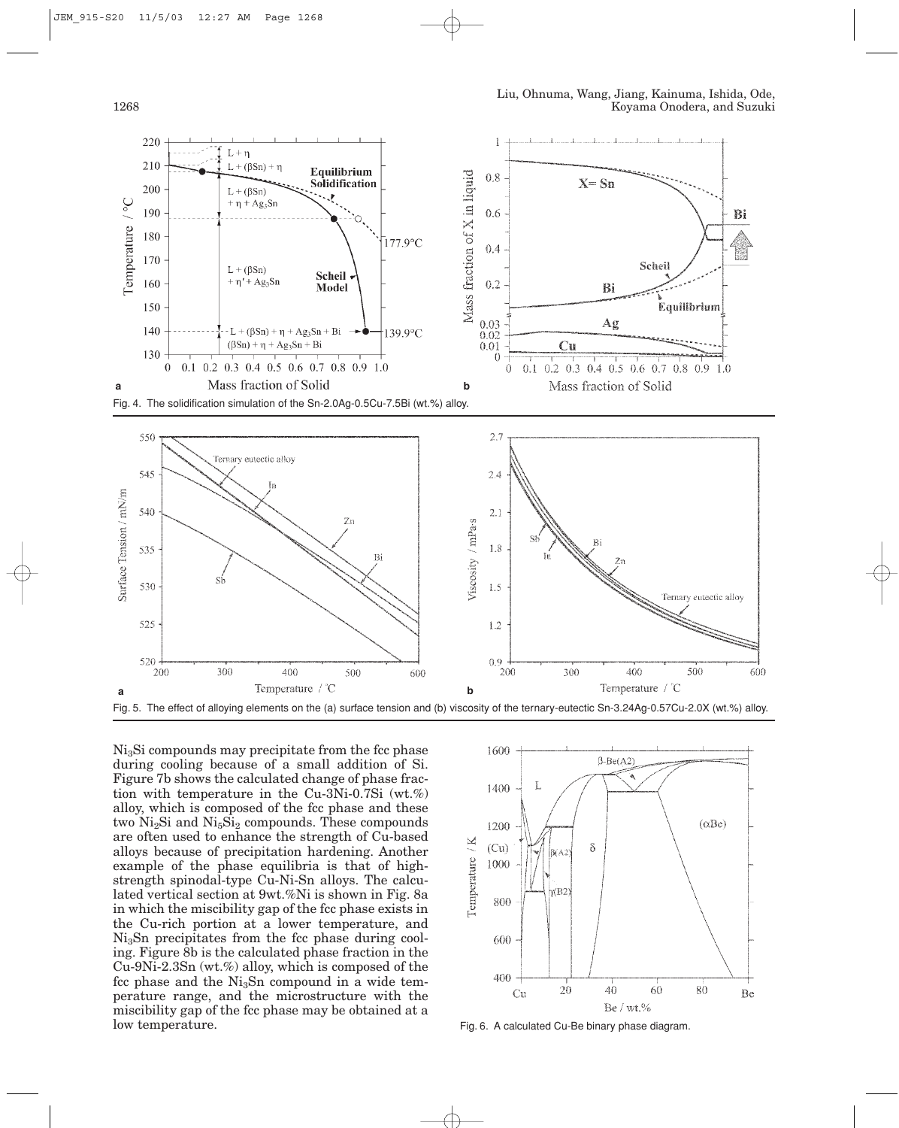



Ni3Si compounds may precipitate from the fcc phase during cooling because of a small addition of Si. Figure 7b shows the calculated change of phase fraction with temperature in the Cu-3Ni-0.7Si (wt.%) alloy, which is composed of the fcc phase and these two  $Ni<sub>2</sub>Si$  and  $Ni<sub>5</sub>Si<sub>2</sub> compounds$ . These compounds are often used to enhance the strength of Cu-based alloys because of precipitation hardening. Another example of the phase equilibria is that of highstrength spinodal-type Cu-Ni-Sn alloys. The calculated vertical section at 9wt.%Ni is shown in Fig. 8a in which the miscibility gap of the fcc phase exists in the Cu-rich portion at a lower temperature, and  $Ni<sub>3</sub>Sn$  precipitates from the fcc phase during cooling. Figure 8b is the calculated phase fraction in the Cu-9Ni-2.3Sn (wt.%) alloy, which is composed of the fcc phase and the  $Ni<sub>3</sub>Sn$  compound in a wide temperature range, and the microstructure with the miscibility gap of the fcc phase may be obtained at a low temperature.



Fig. 6. A calculated Cu-Be binary phase diagram.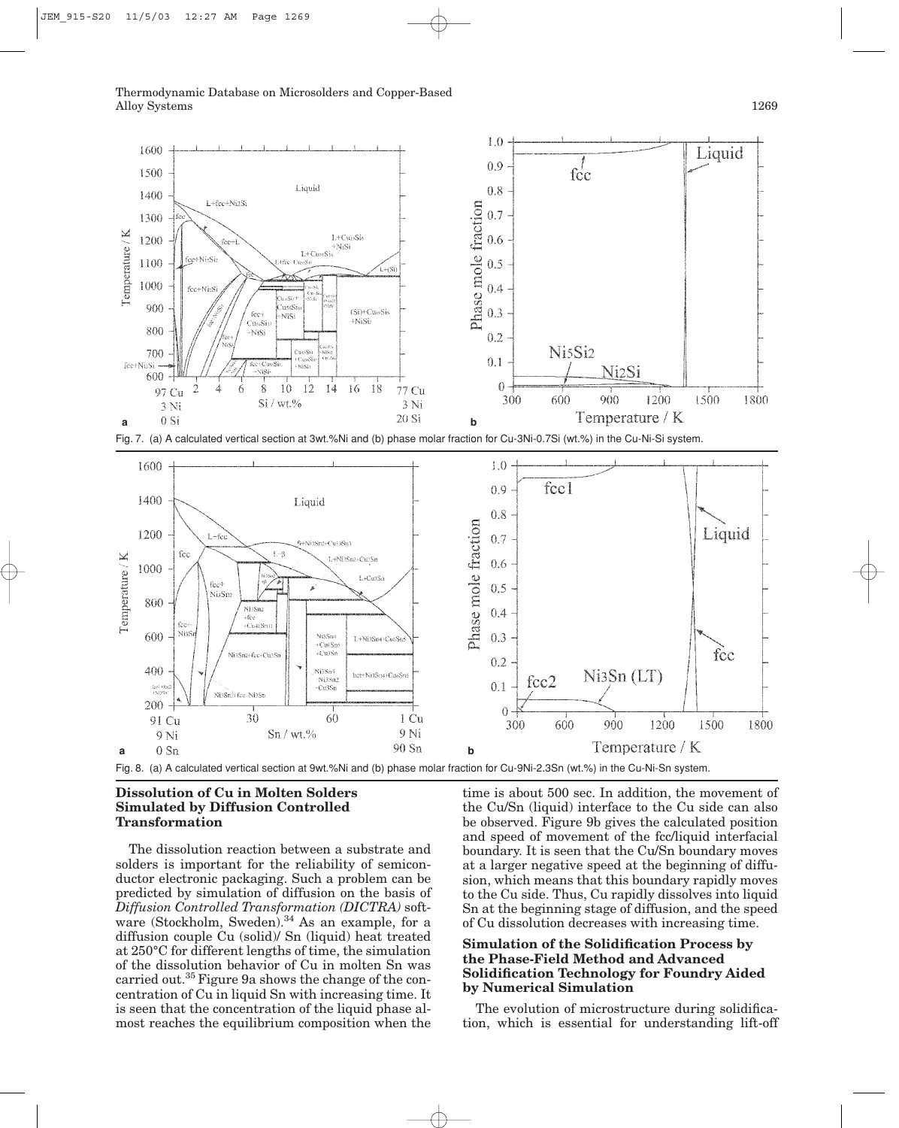

Fig. 7. (a) A calculated vertical section at 3wt.%Ni and (b) phase molar fraction for Cu-3Ni-0.7Si (wt.%) in the Cu-Ni-Si system.



## **Dissolution of Cu in Molten Solders Simulated by Diffusion Controlled Transformation**

The dissolution reaction between a substrate and solders is important for the reliability of semiconductor electronic packaging. Such a problem can be predicted by simulation of diffusion on the basis of *Diffusion Controlled Transformation (DICTRA)* software (Stockholm, Sweden).<sup>34</sup> As an example, for a diffusion couple Cu (solid)/ Sn (liquid) heat treated at 250°C for different lengths of time, the simulation of the dissolution behavior of Cu in molten Sn was carried out.35 Figure 9a shows the change of the concentration of Cu in liquid Sn with increasing time. It is seen that the concentration of the liquid phase almost reaches the equilibrium composition when the time is about 500 sec. In addition, the movement of the Cu/Sn (liquid) interface to the Cu side can also be observed. Figure 9b gives the calculated position and speed of movement of the fcc/liquid interfacial boundary. It is seen that the Cu/Sn boundary moves at a larger negative speed at the beginning of diffusion, which means that this boundary rapidly moves to the Cu side. Thus, Cu rapidly dissolves into liquid Sn at the beginning stage of diffusion, and the speed of Cu dissolution decreases with increasing time.

## **Simulation of the Solidification Process by the Phase-Field Method and Advanced Solidification Technology for Foundry Aided by Numerical Simulation**

The evolution of microstructure during solidification, which is essential for understanding lift-off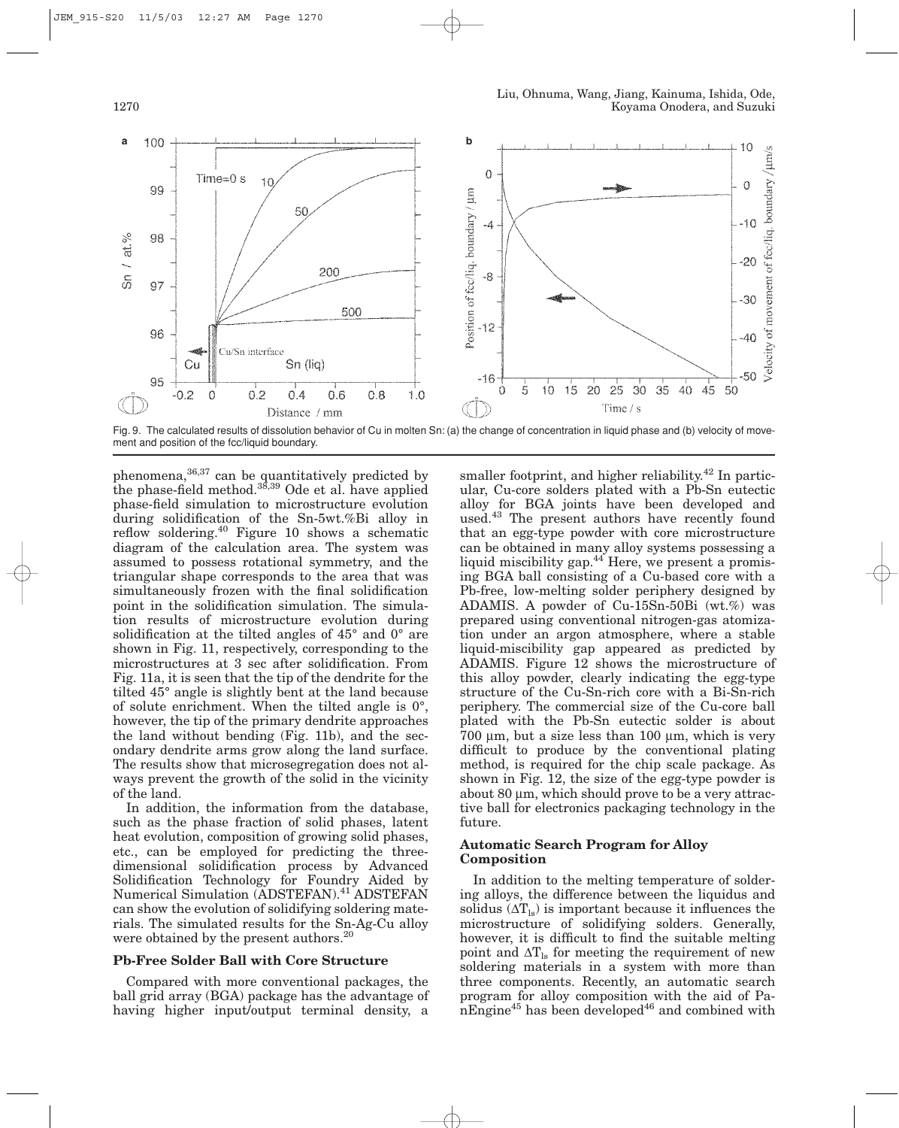

Fig. 9. The calculated results of dissolution behavior of Cu in molten Sn: (a) the change of concentration in liquid phase and (b) velocity of movement and position of the fcc/liquid boundary.

phenomena,<sup>36,37</sup> can be quantitatively predicted by the phase-field method.<sup>38,39</sup> Ode et al. have applied phase-field simulation to microstructure evolution during solidification of the Sn-5wt.%Bi alloy in reflow soldering.<sup>40</sup> Figure 10 shows a schematic diagram of the calculation area. The system was assumed to possess rotational symmetry, and the triangular shape corresponds to the area that was simultaneously frozen with the final solidification point in the solidification simulation. The simulation results of microstructure evolution during solidification at the tilted angles of 45° and 0° are shown in Fig. 11, respectively, corresponding to the microstructures at 3 sec after solidification. From Fig. 11a, it is seen that the tip of the dendrite for the tilted 45° angle is slightly bent at the land because of solute enrichment. When the tilted angle is 0°, however, the tip of the primary dendrite approaches the land without bending (Fig. 11b), and the secondary dendrite arms grow along the land surface. The results show that microsegregation does not always prevent the growth of the solid in the vicinity of the land.

In addition, the information from the database, such as the phase fraction of solid phases, latent heat evolution, composition of growing solid phases, etc., can be employed for predicting the threedimensional solidification process by Advanced Solidification Technology for Foundry Aided by Numerical Simulation (ADSTEFAN).<sup>41</sup> ADSTEFAN can show the evolution of solidifying soldering materials. The simulated results for the Sn-Ag-Cu alloy were obtained by the present authors.<sup>20</sup>

#### **Pb-Free Solder Ball with Core Structure**

Compared with more conventional packages, the ball grid array (BGA) package has the advantage of having higher input/output terminal density, a smaller footprint, and higher reliability.<sup>42</sup> In particular, Cu-core solders plated with a Pb-Sn eutectic alloy for BGA joints have been developed and used.43 The present authors have recently found that an egg-type powder with core microstructure can be obtained in many alloy systems possessing a liquid miscibility gap.<sup>44</sup> Here, we present a promising BGA ball consisting of a Cu-based core with a Pb-free, low-melting solder periphery designed by ADAMIS. A powder of Cu-15Sn-50Bi (wt.%) was prepared using conventional nitrogen-gas atomization under an argon atmosphere, where a stable liquid-miscibility gap appeared as predicted by ADAMIS. Figure 12 shows the microstructure of this alloy powder, clearly indicating the egg-type structure of the Cu-Sn-rich core with a Bi-Sn-rich periphery. The commercial size of the Cu-core ball plated with the Pb-Sn eutectic solder is about 700 µm, but a size less than 100 µm, which is very difficult to produce by the conventional plating method, is required for the chip scale package. As shown in Fig. 12, the size of the egg-type powder is about 80  $\mu$ m, which should prove to be a very attractive ball for electronics packaging technology in the future.

## **Automatic Search Program for Alloy Composition**

In addition to the melting temperature of soldering alloys, the difference between the liquidus and solidus  $(\Delta T_{ls})$  is important because it influences the microstructure of solidifying solders. Generally, however, it is difficult to find the suitable melting point and  $\Delta T_{\text{ls}}$  for meeting the requirement of new soldering materials in a system with more than three components. Recently, an automatic search program for alloy composition with the aid of Pa $n_{\text{E}}$ nEngine<sup>45</sup> has been developed<sup>46</sup> and combined with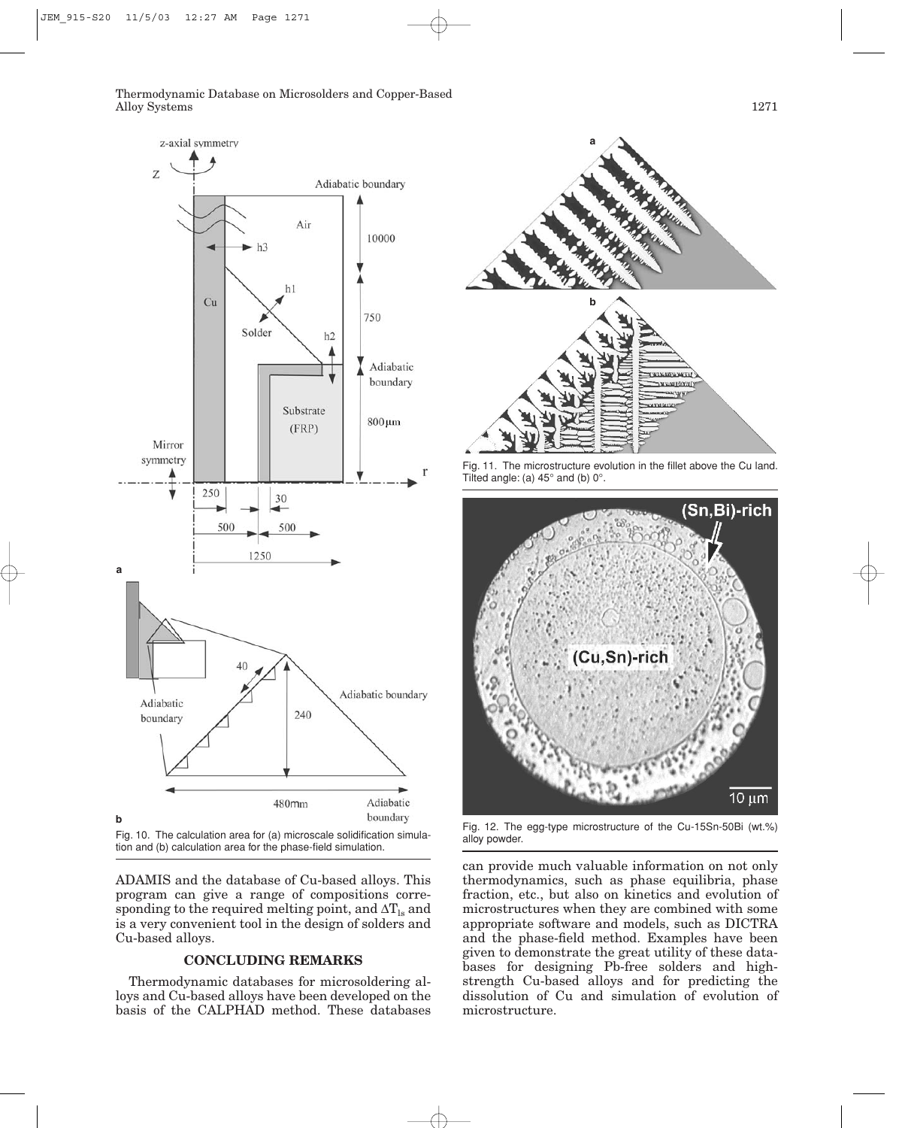

tion and (b) calculation area for the phase-field simulation.

ADAMIS and the database of Cu-based alloys. This program can give a range of compositions corresponding to the required melting point, and  $\Delta T_{\text{ls}}$  and is a very convenient tool in the design of solders and Cu-based alloys.

## **CONCLUDING REMARKS**

Thermodynamic databases for microsoldering alloys and Cu-based alloys have been developed on the basis of the CALPHAD method. These databases



Fig. 11. The microstructure evolution in the fillet above the Cu land. Tilted angle: (a)  $45^\circ$  and (b)  $0^\circ$ .



Fig. 12. The egg-type microstructure of the Cu-15Sn-50Bi (wt.%)

can provide much valuable information on not only thermodynamics, such as phase equilibria, phase fraction, etc., but also on kinetics and evolution of microstructures when they are combined with some appropriate software and models, such as DICTRA and the phase-field method. Examples have been given to demonstrate the great utility of these databases for designing Pb-free solders and highstrength Cu-based alloys and for predicting the dissolution of Cu and simulation of evolution of microstructure.